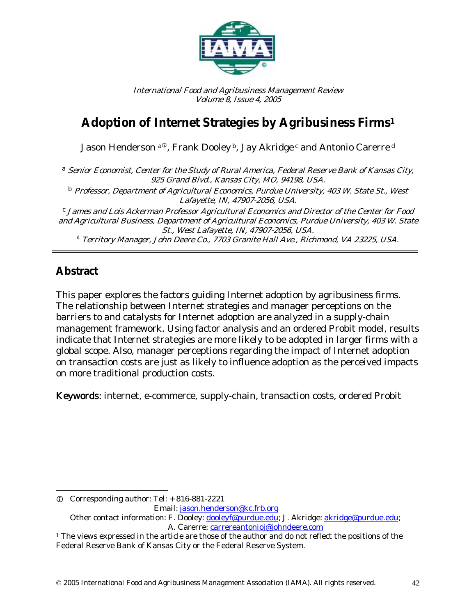

International Food and Agribusiness Management Review Volume 8, Issue 4, 2005

# **Adoption of Internet Strategies by Agribusiness Firms1**

Jason Henderson a®, Frank Dooley b, Jay Akridge c and Antonio Carerre d

a Senior Economist, Center for the Study of Rural America, Federal Reserve Bank of Kansas City, 925 Grand Blvd., Kansas City, MO, 94198, USA.

<sup>b</sup> Professor, Department of Agricultural Economics, Purdue University, 403 W. State St., West Lafayette, IN, 47907-2056, USA.

 $c$  James and Lois Ackerman Professor Agricultural Economics and Director of the Center for Food and Agricultural Business, Department of Agricultural Economics, Purdue University, 403 W. State

d Territory Manager, John Deere Co., 7703 Granite Hall Ave., Richmond, VA 23225, USA.

# **Abstract**

 $\overline{\phantom{a}}$ 

This paper explores the factors guiding Internet adoption by agribusiness firms. The relationship between Internet strategies and manager perceptions on the barriers to and catalysts for Internet adoption are analyzed in a supply-chain management framework. Using factor analysis and an ordered Probit model, results indicate that Internet strategies are more likely to be adopted in larger firms with a global scope. Also, manager perceptions regarding the impact of Internet adoption on transaction costs are just as likely to influence adoption as the perceived impacts on more traditional production costs.

Keywords: internet, e-commerce, supply-chain, transaction costs, ordered Probit

A. Carerre: carrereantonioj@johndeere.com

L Corresponding author: Tel: + 816-881-2221 Email: jason.henderson@kc.frb.org Other contact information: F. Dooley: dooleyf@purdue.edu; J. Akridge: akridge@purdue.edu;

 $1$ <sup>1</sup> The views expressed in the article are those of the author and do not reflect the positions of the Federal Reserve Bank of Kansas City or the Federal Reserve System.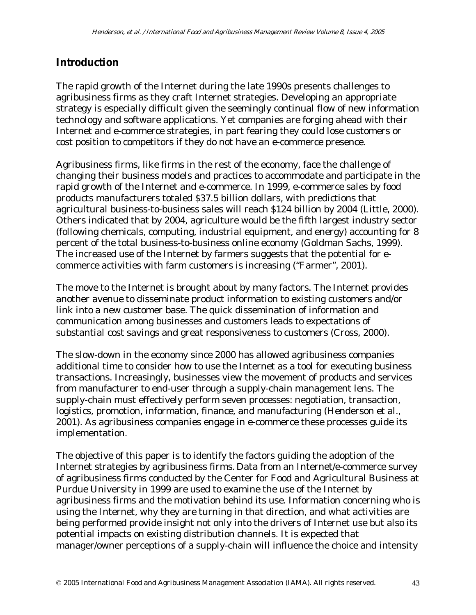# **Introduction**

The rapid growth of the Internet during the late 1990s presents challenges to agribusiness firms as they craft Internet strategies. Developing an appropriate strategy is especially difficult given the seemingly continual flow of new information technology and software applications. Yet companies are forging ahead with their Internet and e-commerce strategies, in part fearing they could lose customers or cost position to competitors if they do not have an e-commerce presence.

Agribusiness firms, like firms in the rest of the economy, face the challenge of changing their business models and practices to accommodate and participate in the rapid growth of the Internet and e-commerce. In 1999, e-commerce sales by food products manufacturers totaled \$37.5 billion dollars, with predictions that agricultural business-to-business sales will reach \$124 billion by 2004 (Little, 2000). Others indicated that by 2004, agriculture would be the fifth largest industry sector (following chemicals, computing, industrial equipment, and energy) accounting for 8 percent of the total business-to-business online economy (Goldman Sachs, 1999). The increased use of the Internet by farmers suggests that the potential for ecommerce activities with farm customers is increasing ("Farmer", 2001).

The move to the Internet is brought about by many factors. The Internet provides another avenue to disseminate product information to existing customers and/or link into a new customer base. The quick dissemination of information and communication among businesses and customers leads to expectations of substantial cost savings and great responsiveness to customers (Cross, 2000).

The slow-down in the economy since 2000 has allowed agribusiness companies additional time to consider how to use the Internet as a tool for executing business transactions. Increasingly, businesses view the movement of products and services from manufacturer to end-user through a supply-chain management lens. The supply-chain must effectively perform seven processes: negotiation, transaction, logistics, promotion, information, finance, and manufacturing (Henderson et al., 2001). As agribusiness companies engage in e-commerce these processes guide its implementation.

The objective of this paper is to identify the factors guiding the adoption of the Internet strategies by agribusiness firms. Data from an Internet/e-commerce survey of agribusiness firms conducted by the Center for Food and Agricultural Business at Purdue University in 1999 are used to examine the use of the Internet by agribusiness firms and the motivation behind its use. Information concerning who is using the Internet, why they are turning in that direction, and what activities are being performed provide insight not only into the drivers of Internet use but also its potential impacts on existing distribution channels. It is expected that manager/owner perceptions of a supply-chain will influence the choice and intensity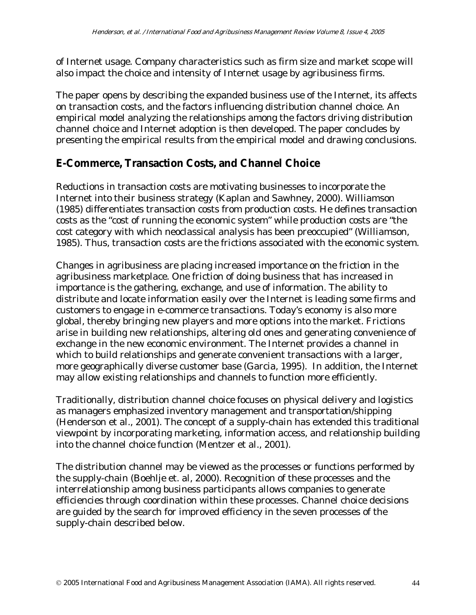of Internet usage. Company characteristics such as firm size and market scope will also impact the choice and intensity of Internet usage by agribusiness firms.

The paper opens by describing the expanded business use of the Internet, its affects on transaction costs, and the factors influencing distribution channel choice. An empirical model analyzing the relationships among the factors driving distribution channel choice and Internet adoption is then developed. The paper concludes by presenting the empirical results from the empirical model and drawing conclusions.

# **E-Commerce, Transaction Costs, and Channel Choice**

Reductions in transaction costs are motivating businesses to incorporate the Internet into their business strategy (Kaplan and Sawhney, 2000). Williamson (1985) differentiates transaction costs from production costs. He defines transaction costs as the "cost of running the economic system" while production costs are "the cost category with which neoclassical analysis has been preoccupied" (Williamson, 1985). Thus, transaction costs are the frictions associated with the economic system.

Changes in agribusiness are placing increased importance on the friction in the agribusiness marketplace. One friction of doing business that has increased in importance is the gathering, exchange, and use of information. The ability to distribute and locate information easily over the Internet is leading some firms and customers to engage in e-commerce transactions. Today's economy is also more global, thereby bringing new players and more options into the market. Frictions arise in building new relationships, altering old ones and generating convenience of exchange in the new economic environment. The Internet provides a channel in which to build relationships and generate convenient transactions with a larger, more geographically diverse customer base (Garcia, 1995). In addition, the Internet may allow existing relationships and channels to function more efficiently.

Traditionally, distribution channel choice focuses on physical delivery and logistics as managers emphasized inventory management and transportation/shipping (Henderson et al., 2001). The concept of a supply-chain has extended this traditional viewpoint by incorporating marketing, information access, and relationship building into the channel choice function (Mentzer et al., 2001).

The distribution channel may be viewed as the processes or functions performed by the supply-chain (Boehlje et. al, 2000). Recognition of these processes and the interrelationship among business participants allows companies to generate efficiencies through coordination within these processes. Channel choice decisions are guided by the search for improved efficiency in the seven processes of the supply-chain described below.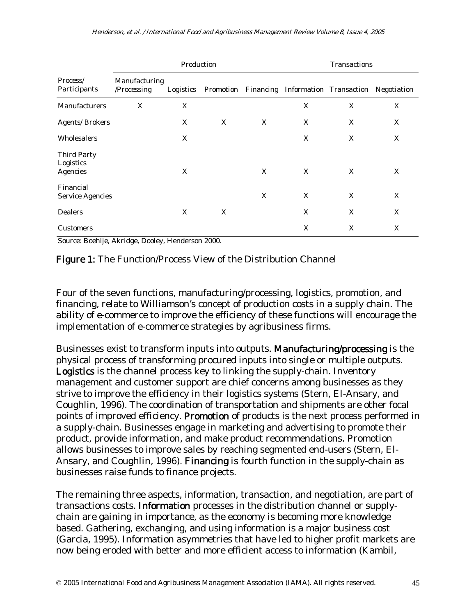|                                             | Production                   |           |   |   | Transactions |                                                         |   |  |
|---------------------------------------------|------------------------------|-----------|---|---|--------------|---------------------------------------------------------|---|--|
| Process/<br>Participants                    | Manufacturing<br>/Processing | Logistics |   |   |              | Promotion Financing Information Transaction Negotiation |   |  |
| Manufacturers                               | X                            | X         |   |   | X            | X                                                       | X |  |
| <b>Agents/Brokers</b>                       |                              | X         | X | X | X            | X                                                       | X |  |
| Wholesalers                                 |                              | X         |   |   | X            | X                                                       | X |  |
| <b>Third Party</b><br>Logistics<br>Agencies |                              | X         |   | X | X            | X                                                       | X |  |
| Financial<br><b>Service Agencies</b>        |                              |           |   | X | X            | X                                                       | X |  |
| <b>Dealers</b>                              |                              | X         | X |   | X            | X                                                       | X |  |
| <b>Customers</b>                            |                              |           |   |   | X            | X                                                       | X |  |

Source: Boehlje, Akridge, Dooley, Henderson 2000.

Figure 1: The Function/Process View of the Distribution Channel

Four of the seven functions, manufacturing/processing, logistics, promotion, and financing, relate to Williamson's concept of production costs in a supply chain. The ability of e-commerce to improve the efficiency of these functions will encourage the implementation of e-commerce strategies by agribusiness firms.

Businesses exist to transform inputs into outputs. Manufacturing/processing is the physical process of transforming procured inputs into single or multiple outputs. Logistics is the channel process key to linking the supply-chain. Inventory management and customer support are chief concerns among businesses as they strive to improve the efficiency in their logistics systems (Stern, El-Ansary, and Coughlin, 1996). The coordination of transportation and shipments are other focal points of improved efficiency. Promotion of products is the next process performed in a supply-chain. Businesses engage in marketing and advertising to promote their product, provide information, and make product recommendations. Promotion allows businesses to improve sales by reaching segmented end-users (Stern, El-Ansary, and Coughlin, 1996). Financing is fourth function in the supply-chain as businesses raise funds to finance projects.

The remaining three aspects, information, transaction, and negotiation, are part of transactions costs. Information processes in the distribution channel or supplychain are gaining in importance, as the economy is becoming more knowledge based. Gathering, exchanging, and using information is a major business cost (Garcia, 1995). Information asymmetries that have led to higher profit markets are now being eroded with better and more efficient access to information (Kambil,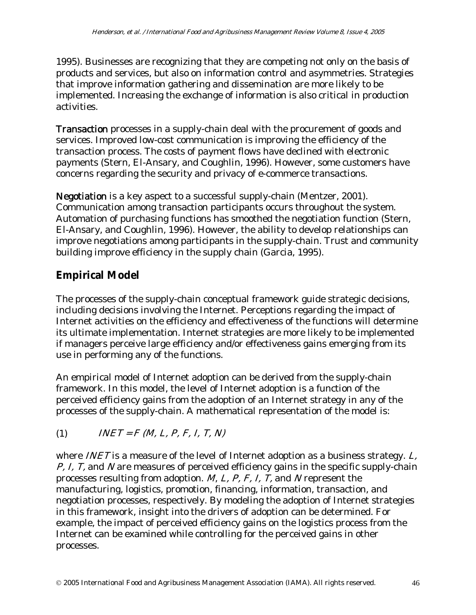1995). Businesses are recognizing that they are competing not only on the basis of products and services, but also on information control and asymmetries. Strategies that improve information gathering and dissemination are more likely to be implemented. Increasing the exchange of information is also critical in production activities.

Transaction processes in a supply-chain deal with the procurement of goods and services. Improved low-cost communication is improving the efficiency of the transaction process. The costs of payment flows have declined with electronic payments (Stern, El-Ansary, and Coughlin, 1996). However, some customers have concerns regarding the security and privacy of e-commerce transactions.

Negotiation is a key aspect to a successful supply-chain (Mentzer, 2001). Communication among transaction participants occurs throughout the system. Automation of purchasing functions has smoothed the negotiation function (Stern, El-Ansary, and Coughlin, 1996). However, the ability to develop relationships can improve negotiations among participants in the supply-chain. Trust and community building improve efficiency in the supply chain (Garcia, 1995).

# **Empirical Model**

The processes of the supply-chain conceptual framework guide strategic decisions, including decisions involving the Internet. Perceptions regarding the impact of Internet activities on the efficiency and effectiveness of the functions will determine its ultimate implementation. Internet strategies are more likely to be implemented if managers perceive large efficiency and/or effectiveness gains emerging from its use in performing any of the functions.

An empirical model of Internet adoption can be derived from the supply-chain framework. In this model, the level of Internet adoption is a function of the perceived efficiency gains from the adoption of an Internet strategy in any of the processes of the supply-chain. A mathematical representation of the model is:

```
(1) INET = F (M, L, P, F, I, T, N)
```
where *INET* is a measure of the level of Internet adoption as a business strategy. L, *P, I, T,* and *N* are measures of perceived efficiency gains in the specific supply-chain processes resulting from adoption.  $M$ ,  $L$ ,  $P$ ,  $F$ ,  $I$ ,  $T$ , and N represent the manufacturing, logistics, promotion, financing, information, transaction, and negotiation processes, respectively. By modeling the adoption of Internet strategies in this framework, insight into the drivers of adoption can be determined. For example, the impact of perceived efficiency gains on the logistics process from the Internet can be examined while controlling for the perceived gains in other processes.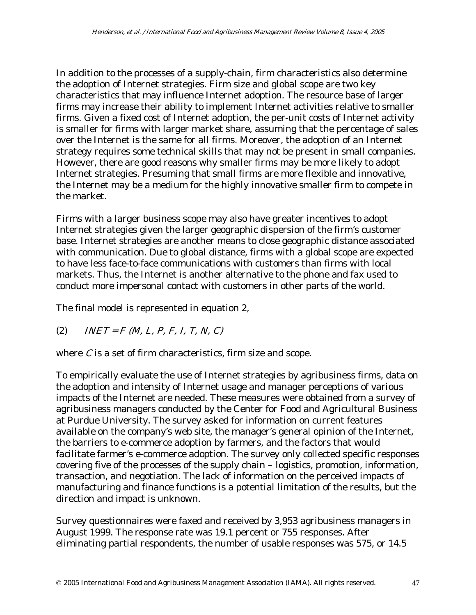In addition to the processes of a supply-chain, firm characteristics also determine the adoption of Internet strategies. Firm size and global scope are two key characteristics that may influence Internet adoption. The resource base of larger firms may increase their ability to implement Internet activities relative to smaller firms. Given a fixed cost of Internet adoption, the per-unit costs of Internet activity is smaller for firms with larger market share, assuming that the percentage of sales over the Internet is the same for all firms. Moreover, the adoption of an Internet strategy requires some technical skills that may not be present in small companies. However, there are good reasons why smaller firms may be more likely to adopt Internet strategies. Presuming that small firms are more flexible and innovative, the Internet may be a medium for the highly innovative smaller firm to compete in the market.

Firms with a larger business scope may also have greater incentives to adopt Internet strategies given the larger geographic dispersion of the firm's customer base. Internet strategies are another means to close geographic distance associated with communication. Due to global distance, firms with a global scope are expected to have less face-to-face communications with customers than firms with local markets. Thus, the Internet is another alternative to the phone and fax used to conduct more impersonal contact with customers in other parts of the world.

The final model is represented in equation 2,

(2)  $INET = F (M, L, P, F, I, T, N, C)$ 

where  $C$  is a set of firm characteristics, firm size and scope.

To empirically evaluate the use of Internet strategies by agribusiness firms, data on the adoption and intensity of Internet usage and manager perceptions of various impacts of the Internet are needed. These measures were obtained from a survey of agribusiness managers conducted by the Center for Food and Agricultural Business at Purdue University. The survey asked for information on current features available on the company's web site, the manager's general opinion of the Internet, the barriers to e-commerce adoption by farmers, and the factors that would facilitate farmer's e-commerce adoption. The survey only collected specific responses covering five of the processes of the supply chain – logistics, promotion, information, transaction, and negotiation. The lack of information on the perceived impacts of manufacturing and finance functions is a potential limitation of the results, but the direction and impact is unknown.

Survey questionnaires were faxed and received by 3,953 agribusiness managers in August 1999. The response rate was 19.1 percent or 755 responses. After eliminating partial respondents, the number of usable responses was 575, or 14.5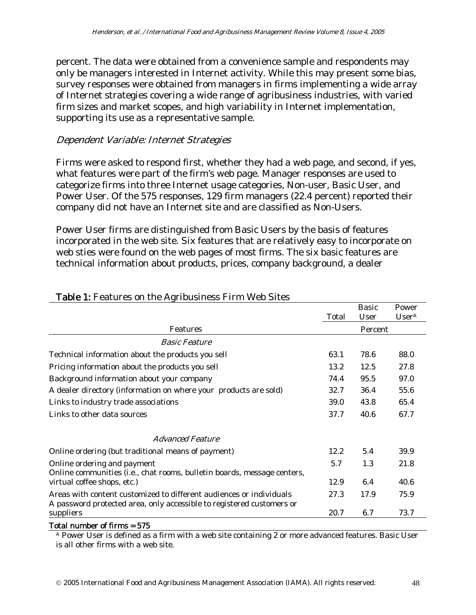percent. The data were obtained from a convenience sample and respondents may only be managers interested in Internet activity. While this may present some bias, survey responses were obtained from managers in firms implementing a wide array of Internet strategies covering a wide range of agribusiness industries, with varied firm sizes and market scopes, and high variability in Internet implementation, supporting its use as a representative sample.

### Dependent Variable: Internet Strategies

Firms were asked to respond first, whether they had a web page, and second, if yes, what features were part of the firm's web page. Manager responses are used to categorize firms into three Internet usage categories, Non-user, Basic User, and Power User. Of the 575 responses, 129 firm managers (22.4 percent) reported their company did not have an Internet site and are classified as Non-Users.

Power User firms are distinguished from Basic Users by the basis of features incorporated in the web site. Six features that are relatively easy to incorporate on web sties were found on the web pages of most firms. The six basic features are technical information about products, prices, company background, a dealer

|                                                                                                                                              |       | <b>Basic</b> | Power             |
|----------------------------------------------------------------------------------------------------------------------------------------------|-------|--------------|-------------------|
|                                                                                                                                              | Total | User         | User <sup>A</sup> |
| Features                                                                                                                                     |       | Percent      |                   |
| <i><b>Basic Feature</b></i>                                                                                                                  |       |              |                   |
| Technical information about the products you sell                                                                                            | 63.1  | 78.6         | 88.0              |
| Pricing information about the products you sell                                                                                              | 13.2  | 12.5         | 27.8              |
| Background information about your company                                                                                                    | 74.4  | 95.5         | 97.0              |
| A dealer directory (information on where your products are sold)                                                                             | 32.7  | 36.4         | 55.6              |
| Links to industry trade associations                                                                                                         | 39.0  | 43.8         | 65.4              |
| Links to other data sources                                                                                                                  | 37.7  | 40.6         | 67.7              |
| <i>Advanced Feature</i>                                                                                                                      |       |              |                   |
| Online ordering (but traditional means of payment)                                                                                           | 12.2  | 5.4          | 39.9              |
| Online ordering and payment<br>Online communities (i.e., chat rooms, bulletin boards, message centers,                                       | 5.7   | 1.3          | 21.8              |
| virtual coffee shops, etc.)                                                                                                                  | 12.9  | 6.4          | 40.6              |
| Areas with content customized to different audiences or individuals<br>A password protected area, only accessible to registered customers or | 27.3  | 17.9         | 75.9              |
| suppliers                                                                                                                                    | 20.7  | 6.7          | 73.7              |

### Table 1: Features on the Agribusiness Firm Web Sites

Total number of firms = 575

A Power User is defined as a firm with a web site containing 2 or more advanced features. Basic User is all other firms with a web site.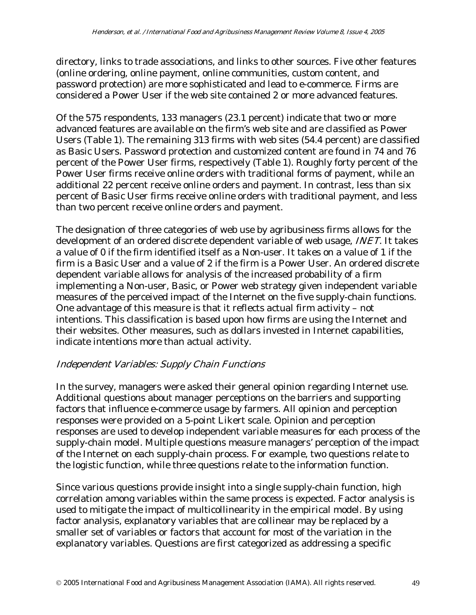directory, links to trade associations, and links to other sources. Five other features (online ordering, online payment, online communities, custom content, and password protection) are more sophisticated and lead to e-commerce. Firms are considered a Power User if the web site contained 2 or more advanced features.

Of the 575 respondents, 133 managers (23.1 percent) indicate that two or more advanced features are available on the firm's web site and are classified as Power Users (Table 1). The remaining 313 firms with web sites (54.4 percent) are classified as Basic Users. Password protection and customized content are found in 74 and 76 percent of the Power User firms, respectively (Table 1). Roughly forty percent of the Power User firms receive online orders with traditional forms of payment, while an additional 22 percent receive online orders and payment. In contrast, less than six percent of Basic User firms receive online orders with traditional payment, and less than two percent receive online orders and payment.

The designation of three categories of web use by agribusiness firms allows for the development of an ordered discrete dependent variable of web usage, *INET*. It takes a value of 0 if the firm identified itself as a Non-user. It takes on a value of 1 if the firm is a Basic User and a value of 2 if the firm is a Power User. An ordered discrete dependent variable allows for analysis of the increased probability of a firm implementing a Non-user, Basic, or Power web strategy given independent variable measures of the perceived impact of the Internet on the five supply-chain functions. One advantage of this measure is that it reflects actual firm activity – not intentions. This classification is based upon how firms are using the Internet and their websites. Other measures, such as dollars invested in Internet capabilities, indicate intentions more than actual activity.

# Independent Variables: Supply Chain Functions

In the survey, managers were asked their general opinion regarding Internet use. Additional questions about manager perceptions on the barriers and supporting factors that influence e-commerce usage by farmers. All opinion and perception responses were provided on a 5-point Likert scale. Opinion and perception responses are used to develop independent variable measures for each process of the supply-chain model. Multiple questions measure managers' perception of the impact of the Internet on each supply-chain process. For example, two questions relate to the logistic function, while three questions relate to the information function.

Since various questions provide insight into a single supply-chain function, high correlation among variables within the same process is expected. Factor analysis is used to mitigate the impact of multicollinearity in the empirical model. By using factor analysis, explanatory variables that are collinear may be replaced by a smaller set of variables or factors that account for most of the variation in the explanatory variables. Questions are first categorized as addressing a specific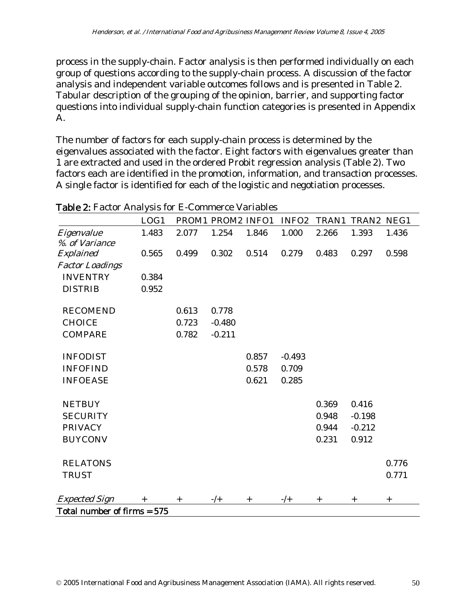process in the supply-chain. Factor analysis is then performed individually on each group of questions according to the supply-chain process. A discussion of the factor analysis and independent variable outcomes follows and is presented in Table 2. Tabular description of the grouping of the opinion, barrier, and supporting factor questions into individual supply-chain function categories is presented in Appendix A.

The number of factors for each supply-chain process is determined by the eigenvalues associated with the factor. Eight factors with eigenvalues greater than 1 are extracted and used in the ordered Probit regression analysis (Table 2). Two factors each are identified in the promotion, information, and transaction processes. A single factor is identified for each of the logistic and negotiation processes.

|                              | LOG1   |        | PROM1 PROM2 INFO1 |        | INFO <sub>2</sub> | TRAN1  | TRAN2 NEG1 |        |
|------------------------------|--------|--------|-------------------|--------|-------------------|--------|------------|--------|
| Eigenvalue<br>%. of Variance | 1.483  | 2.077  | 1.254             | 1.846  | 1.000             | 2.266  | 1.393      | 1.436  |
| Explained                    | 0.565  | 0.499  | 0.302             | 0.514  | 0.279             | 0.483  | 0.297      | 0.598  |
| <b>Factor Loadings</b>       |        |        |                   |        |                   |        |            |        |
| <b>INVENTRY</b>              | 0.384  |        |                   |        |                   |        |            |        |
| <b>DISTRIB</b>               | 0.952  |        |                   |        |                   |        |            |        |
| <b>RECOMEND</b>              |        | 0.613  | 0.778             |        |                   |        |            |        |
| <b>CHOICE</b>                |        | 0.723  | $-0.480$          |        |                   |        |            |        |
| <b>COMPARE</b>               |        | 0.782  | $-0.211$          |        |                   |        |            |        |
| <b>INFODIST</b>              |        |        |                   | 0.857  | $-0.493$          |        |            |        |
| <b>INFOFIND</b>              |        |        |                   | 0.578  | 0.709             |        |            |        |
| <b>INFOEASE</b>              |        |        |                   | 0.621  | 0.285             |        |            |        |
| <b>NETBUY</b>                |        |        |                   |        |                   | 0.369  | 0.416      |        |
| <b>SECURITY</b>              |        |        |                   |        |                   | 0.948  | $-0.198$   |        |
| <b>PRIVACY</b>               |        |        |                   |        |                   | 0.944  | $-0.212$   |        |
| <b>BUYCONV</b>               |        |        |                   |        |                   | 0.231  | 0.912      |        |
| <b>RELATONS</b>              |        |        |                   |        |                   |        |            | 0.776  |
| <b>TRUST</b>                 |        |        |                   |        |                   |        |            | 0.771  |
| <b>Expected Sign</b>         | $^{+}$ | $^{+}$ | $-/-$             | $^{+}$ | $-/+$             | $^{+}$ | $^{+}$     | $^{+}$ |
| Total number of firms = 575  |        |        |                   |        |                   |        |            |        |

Table 2: Factor Analysis for E-Commerce Variables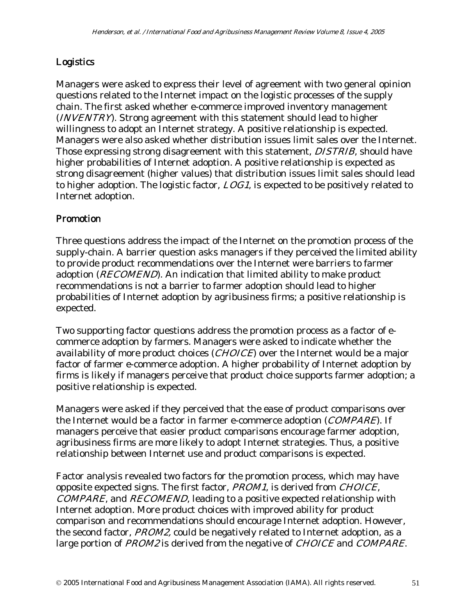# Logistics

Managers were asked to express their level of agreement with two general opinion questions related to the Internet impact on the logistic processes of the supply chain. The first asked whether e-commerce improved inventory management (INVENTRY). Strong agreement with this statement should lead to higher willingness to adopt an Internet strategy. A positive relationship is expected. Managers were also asked whether distribution issues limit sales over the Internet. Those expressing strong disagreement with this statement, DISTRIB, should have higher probabilities of Internet adoption. A positive relationship is expected as strong disagreement (higher values) that distribution issues limit sales should lead to higher adoption. The logistic factor, LOG1, is expected to be positively related to Internet adoption.

# Promotion

Three questions address the impact of the Internet on the promotion process of the supply-chain. A barrier question asks managers if they perceived the limited ability to provide product recommendations over the Internet were barriers to farmer adoption (*RECOMEND*). An indication that limited ability to make product recommendations is not a barrier to farmer adoption should lead to higher probabilities of Internet adoption by agribusiness firms; a positive relationship is expected.

Two supporting factor questions address the promotion process as a factor of ecommerce adoption by farmers. Managers were asked to indicate whether the availability of more product choices (*CHOICE*) over the Internet would be a major factor of farmer e-commerce adoption. A higher probability of Internet adoption by firms is likely if managers perceive that product choice supports farmer adoption; a positive relationship is expected.

Managers were asked if they perceived that the ease of product comparisons over the Internet would be a factor in farmer e-commerce adoption (COMPARE). If managers perceive that easier product comparisons encourage farmer adoption, agribusiness firms are more likely to adopt Internet strategies. Thus, a positive relationship between Internet use and product comparisons is expected.

Factor analysis revealed two factors for the promotion process, which may have opposite expected signs. The first factor, PROM1, is derived from CHOICE, COMPARE, and RECOMEND, leading to a positive expected relationship with Internet adoption. More product choices with improved ability for product comparison and recommendations should encourage Internet adoption. However, the second factor, PROM2, could be negatively related to Internet adoption, as a large portion of PROM2 is derived from the negative of CHOICE and COMPARE.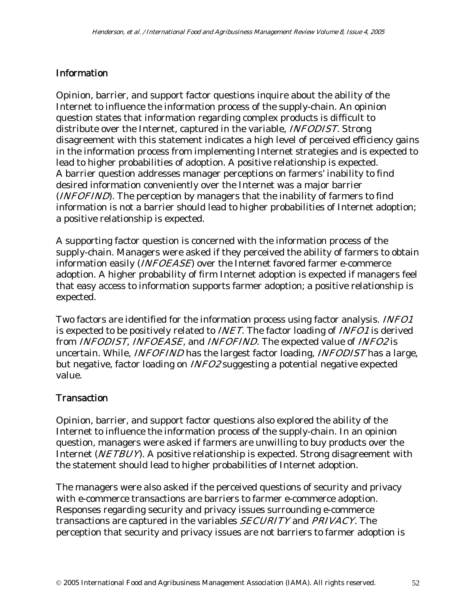### **Information**

Opinion, barrier, and support factor questions inquire about the ability of the Internet to influence the information process of the supply-chain. An opinion question states that information regarding complex products is difficult to distribute over the Internet, captured in the variable, *INFODIST*. Strong disagreement with this statement indicates a high level of perceived efficiency gains in the information process from implementing Internet strategies and is expected to lead to higher probabilities of adoption. A positive relationship is expected. A barrier question addresses manager perceptions on farmers' inability to find desired information conveniently over the Internet was a major barrier (*INFOFIND*). The perception by managers that the inability of farmers to find information is not a barrier should lead to higher probabilities of Internet adoption; a positive relationship is expected.

A supporting factor question is concerned with the information process of the supply-chain. Managers were asked if they perceived the ability of farmers to obtain information easily (INFOEASE) over the Internet favored farmer e-commerce adoption. A higher probability of firm Internet adoption is expected if managers feel that easy access to information supports farmer adoption; a positive relationship is expected.

Two factors are identified for the information process using factor analysis. INFO1 is expected to be positively related to INET. The factor loading of INFO1 is derived from *INFODIST*, *INFOEASE*, and *INFOFIND*. The expected value of *INFO2* is uncertain. While, *INFOFIND* has the largest factor loading, *INFODIST* has a large, but negative, factor loading on INFO2 suggesting a potential negative expected value.

### **Transaction**

Opinion, barrier, and support factor questions also explored the ability of the Internet to influence the information process of the supply-chain. In an opinion question, managers were asked if farmers are unwilling to buy products over the Internet (NETBUY). A positive relationship is expected. Strong disagreement with the statement should lead to higher probabilities of Internet adoption.

The managers were also asked if the perceived questions of security and privacy with e-commerce transactions are barriers to farmer e-commerce adoption. Responses regarding security and privacy issues surrounding e-commerce transactions are captured in the variables SECURITY and PRIVACY. The perception that security and privacy issues are not barriers to farmer adoption is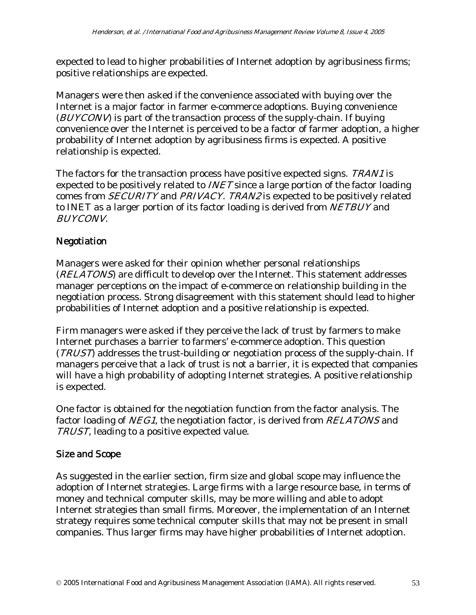expected to lead to higher probabilities of Internet adoption by agribusiness firms; positive relationships are expected.

Managers were then asked if the convenience associated with buying over the Internet is a major factor in farmer e-commerce adoptions. Buying convenience (BUYCONV) is part of the transaction process of the supply-chain. If buying convenience over the Internet is perceived to be a factor of farmer adoption, a higher probability of Internet adoption by agribusiness firms is expected. A positive relationship is expected.

The factors for the transaction process have positive expected signs. TRAN1 is expected to be positively related to INET since a large portion of the factor loading comes from SECURITY and PRIVACY. TRAN2 is expected to be positively related to INET as a larger portion of its factor loading is derived from NETBUY and BUYCONV.

# Negotiation

Managers were asked for their opinion whether personal relationships (RELATONS) are difficult to develop over the Internet. This statement addresses manager perceptions on the impact of e-commerce on relationship building in the negotiation process. Strong disagreement with this statement should lead to higher probabilities of Internet adoption and a positive relationship is expected.

Firm managers were asked if they perceive the lack of trust by farmers to make Internet purchases a barrier to farmers' e-commerce adoption. This question (TRUST) addresses the trust-building or negotiation process of the supply-chain. If managers perceive that a lack of trust is not a barrier, it is expected that companies will have a high probability of adopting Internet strategies. A positive relationship is expected.

One factor is obtained for the negotiation function from the factor analysis. The factor loading of NEG1, the negotiation factor, is derived from RELATONS and TRUST, leading to a positive expected value.

# Size and Scope

As suggested in the earlier section, firm size and global scope may influence the adoption of Internet strategies. Large firms with a large resource base, in terms of money and technical computer skills, may be more willing and able to adopt Internet strategies than small firms. Moreover, the implementation of an Internet strategy requires some technical computer skills that may not be present in small companies. Thus larger firms may have higher probabilities of Internet adoption.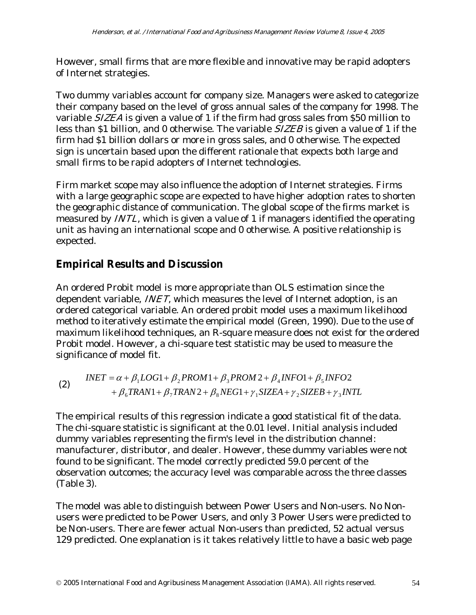However, small firms that are more flexible and innovative may be rapid adopters of Internet strategies.

Two dummy variables account for company size. Managers were asked to categorize their company based on the level of gross annual sales of the company for 1998. The variable SIZEA is given a value of 1 if the firm had gross sales from \$50 million to less than \$1 billion, and 0 otherwise. The variable SIZEB is given a value of 1 if the firm had \$1 billion dollars or more in gross sales, and 0 otherwise. The expected sign is uncertain based upon the different rationale that expects both large and small firms to be rapid adopters of Internet technologies.

Firm market scope may also influence the adoption of Internet strategies. Firms with a large geographic scope are expected to have higher adoption rates to shorten the geographic distance of communication. The global scope of the firms market is measured by *INTL*, which is given a value of 1 if managers identified the operating unit as having an international scope and 0 otherwise. A positive relationship is expected.

# **Empirical Results and Discussion**

An ordered Probit model is more appropriate than OLS estimation since the dependent variable, INET, which measures the level of Internet adoption, is an ordered categorical variable. An ordered probit model uses a maximum likelihood method to iteratively estimate the empirical model (Green, 1990). Due to the use of maximum likelihood techniques, an R-square measure does not exist for the ordered Probit model. However, a chi-square test statistic may be used to measure the significance of model fit.

(2) 
$$
INET = \alpha + \beta_1 LOG1 + \beta_2 PROM1 + \beta_3 PROM2 + \beta_4 INFO1 + \beta_5 INFO2 + \beta_6 TRAN1 + \beta_7 TRAN2 + \beta_8 NEG1 + \gamma_1 SIZEA + \gamma_2 SIZEB + \gamma_3 INTL
$$

The empirical results of this regression indicate a good statistical fit of the data. The chi-square statistic is significant at the 0.01 level. Initial analysis included dummy variables representing the firm's level in the distribution channel: manufacturer, distributor, and dealer. However, these dummy variables were not found to be significant. The model correctly predicted 59.0 percent of the observation outcomes; the accuracy level was comparable across the three classes (Table 3).

The model was able to distinguish between Power Users and Non-users. No Nonusers were predicted to be Power Users, and only 3 Power Users were predicted to be Non-users. There are fewer actual Non-users than predicted, 52 actual versus 129 predicted. One explanation is it takes relatively little to have a basic web page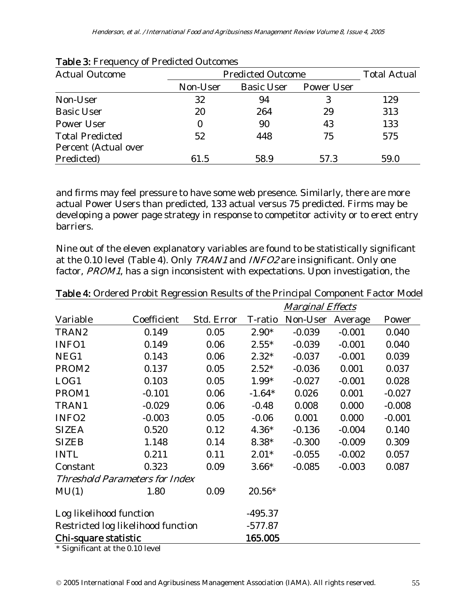| <b>Actual Outcome</b>  | <b>Predicted Outcome</b> | <b>Total Actual</b> |                   |      |
|------------------------|--------------------------|---------------------|-------------------|------|
|                        | Non-User                 | <b>Basic User</b>   | <b>Power User</b> |      |
| Non-User               | 32                       | 94                  | 3                 | 129  |
| <b>Basic User</b>      | 20                       | 264                 | 29                | 313  |
| <b>Power User</b>      | $\bf{0}$                 | 90                  | 43                | 133  |
| <b>Total Predicted</b> | 52                       | 448                 | 75                | 575  |
| Percent (Actual over   |                          |                     |                   |      |
| Predicted)             | 61.5                     | 58.9                | 57.3              | 59.0 |

#### Table 3: Frequency of Predicted Outcomes

and firms may feel pressure to have some web presence. Similarly, there are more actual Power Users than predicted, 133 actual versus 75 predicted. Firms may be developing a power page strategy in response to competitor activity or to erect entry barriers.

Nine out of the eleven explanatory variables are found to be statistically significant at the 0.10 level (Table 4). Only TRAN1 and INFO2 are insignificant. Only one factor, PROM1, has a sign inconsistent with expectations. Upon investigation, the

|                                       |             |            | <b>Marginal Effects</b> |          |          |          |
|---------------------------------------|-------------|------------|-------------------------|----------|----------|----------|
| Variable                              | Coefficient | Std. Error | T-ratio                 | Non-User | Average  | Power    |
| TRAN2                                 | 0.149       | 0.05       | $2.90*$                 | $-0.039$ | $-0.001$ | 0.040    |
| INFO1                                 | 0.149       | 0.06       | $2.55*$                 | $-0.039$ | $-0.001$ | 0.040    |
| NEG1                                  | 0.143       | 0.06       | $2.32*$                 | $-0.037$ | $-0.001$ | 0.039    |
| PROM <sub>2</sub>                     | 0.137       | 0.05       | $2.52*$                 | $-0.036$ | 0.001    | 0.037    |
| LOG1                                  | 0.103       | 0.05       | 1.99*                   | $-0.027$ | $-0.001$ | 0.028    |
| PROM1                                 | $-0.101$    | 0.06       | $-1.64*$                | 0.026    | 0.001    | $-0.027$ |
| TRAN1                                 | $-0.029$    | 0.06       | $-0.48$                 | 0.008    | 0.000    | $-0.008$ |
| INFO <sub>2</sub>                     | $-0.003$    | 0.05       | $-0.06$                 | 0.001    | 0.000    | $-0.001$ |
| <b>SIZEA</b>                          | 0.520       | 0.12       | $4.36*$                 | $-0.136$ | $-0.004$ | 0.140    |
| <b>SIZEB</b>                          | 1.148       | 0.14       | $8.38*$                 | $-0.300$ | $-0.009$ | 0.309    |
| <b>INTL</b>                           | 0.211       | 0.11       | $2.01*$                 | $-0.055$ | $-0.002$ | 0.057    |
| Constant                              | 0.323       | 0.09       | $3.66*$                 | $-0.085$ | $-0.003$ | 0.087    |
| <b>Threshold Parameters for Index</b> |             |            |                         |          |          |          |
| MU(1)                                 | 1.80        | 0.09       | $20.56*$                |          |          |          |
| Log likelihood function               |             |            | $-495.37$               |          |          |          |
| Restricted log likelihood function    |             |            | $-577.87$               |          |          |          |
| Chi-square statistic                  |             |            | 165.005                 |          |          |          |

Table 4: Ordered Probit Regression Results of the Principal Component Factor Model

\* Significant at the 0.10 level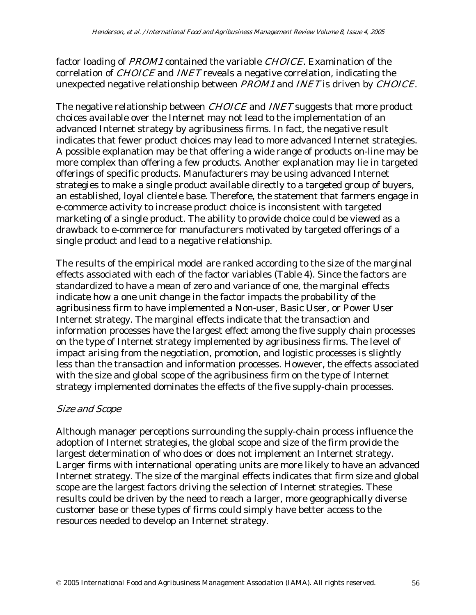factor loading of PROM1 contained the variable CHOICE. Examination of the correlation of CHOICE and INET reveals a negative correlation, indicating the unexpected negative relationship between PROM1 and INET is driven by CHOICE.

The negative relationship between *CHOICE* and *INET* suggests that more product choices available over the Internet may not lead to the implementation of an advanced Internet strategy by agribusiness firms. In fact, the negative result indicates that fewer product choices may lead to more advanced Internet strategies. A possible explanation may be that offering a wide range of products on-line may be more complex than offering a few products. Another explanation may lie in targeted offerings of specific products. Manufacturers may be using advanced Internet strategies to make a single product available directly to a targeted group of buyers, an established, loyal clientele base. Therefore, the statement that farmers engage in e-commerce activity to increase product choice is inconsistent with targeted marketing of a single product. The ability to provide choice could be viewed as a drawback to e-commerce for manufacturers motivated by targeted offerings of a single product and lead to a negative relationship.

The results of the empirical model are ranked according to the size of the marginal effects associated with each of the factor variables (Table 4). Since the factors are standardized to have a mean of zero and variance of one, the marginal effects indicate how a one unit change in the factor impacts the probability of the agribusiness firm to have implemented a Non-user, Basic User, or Power User Internet strategy. The marginal effects indicate that the transaction and information processes have the largest effect among the five supply chain processes on the type of Internet strategy implemented by agribusiness firms. The level of impact arising from the negotiation, promotion, and logistic processes is slightly less than the transaction and information processes. However, the effects associated with the size and global scope of the agribusiness firm on the type of Internet strategy implemented dominates the effects of the five supply-chain processes.

### Size and Scope

Although manager perceptions surrounding the supply-chain process influence the adoption of Internet strategies, the global scope and size of the firm provide the largest determination of who does or does not implement an Internet strategy. Larger firms with international operating units are more likely to have an advanced Internet strategy. The size of the marginal effects indicates that firm size and global scope are the largest factors driving the selection of Internet strategies. These results could be driven by the need to reach a larger, more geographically diverse customer base or these types of firms could simply have better access to the resources needed to develop an Internet strategy.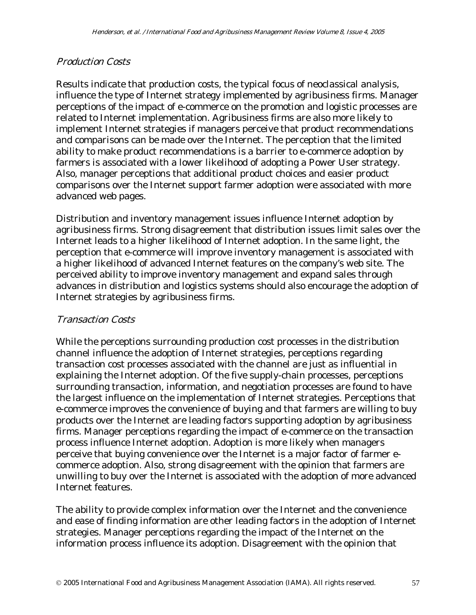### Production Costs

Results indicate that production costs, the typical focus of neoclassical analysis, influence the type of Internet strategy implemented by agribusiness firms. Manager perceptions of the impact of e-commerce on the promotion and logistic processes are related to Internet implementation. Agribusiness firms are also more likely to implement Internet strategies if managers perceive that product recommendations and comparisons can be made over the Internet. The perception that the limited ability to make product recommendations is a barrier to e-commerce adoption by farmers is associated with a lower likelihood of adopting a Power User strategy. Also, manager perceptions that additional product choices and easier product comparisons over the Internet support farmer adoption were associated with more advanced web pages.

Distribution and inventory management issues influence Internet adoption by agribusiness firms. Strong disagreement that distribution issues limit sales over the Internet leads to a higher likelihood of Internet adoption. In the same light, the perception that e-commerce will improve inventory management is associated with a higher likelihood of advanced Internet features on the company's web site. The perceived ability to improve inventory management and expand sales through advances in distribution and logistics systems should also encourage the adoption of Internet strategies by agribusiness firms.

### Transaction Costs

While the perceptions surrounding production cost processes in the distribution channel influence the adoption of Internet strategies, perceptions regarding transaction cost processes associated with the channel are just as influential in explaining the Internet adoption. Of the five supply-chain processes, perceptions surrounding transaction, information, and negotiation processes are found to have the largest influence on the implementation of Internet strategies. Perceptions that e-commerce improves the convenience of buying and that farmers are willing to buy products over the Internet are leading factors supporting adoption by agribusiness firms. Manager perceptions regarding the impact of e-commerce on the transaction process influence Internet adoption. Adoption is more likely when managers perceive that buying convenience over the Internet is a major factor of farmer ecommerce adoption. Also, strong disagreement with the opinion that farmers are unwilling to buy over the Internet is associated with the adoption of more advanced Internet features.

The ability to provide complex information over the Internet and the convenience and ease of finding information are other leading factors in the adoption of Internet strategies. Manager perceptions regarding the impact of the Internet on the information process influence its adoption. Disagreement with the opinion that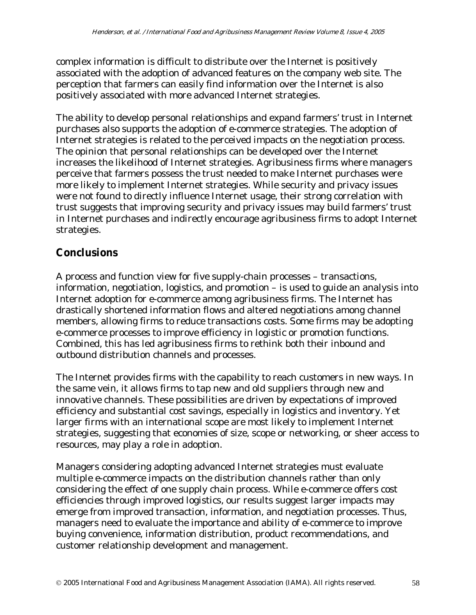complex information is difficult to distribute over the Internet is positively associated with the adoption of advanced features on the company web site. The perception that farmers can easily find information over the Internet is also positively associated with more advanced Internet strategies.

The ability to develop personal relationships and expand farmers' trust in Internet purchases also supports the adoption of e-commerce strategies. The adoption of Internet strategies is related to the perceived impacts on the negotiation process. The opinion that personal relationships can be developed over the Internet increases the likelihood of Internet strategies. Agribusiness firms where managers perceive that farmers possess the trust needed to make Internet purchases were more likely to implement Internet strategies. While security and privacy issues were not found to directly influence Internet usage, their strong correlation with trust suggests that improving security and privacy issues may build farmers' trust in Internet purchases and indirectly encourage agribusiness firms to adopt Internet strategies.

# **Conclusions**

A process and function view for five supply-chain processes – transactions, information, negotiation, logistics, and promotion – is used to guide an analysis into Internet adoption for e-commerce among agribusiness firms. The Internet has drastically shortened information flows and altered negotiations among channel members, allowing firms to reduce transactions costs. Some firms may be adopting e-commerce processes to improve efficiency in logistic or promotion functions. Combined, this has led agribusiness firms to rethink both their inbound and outbound distribution channels and processes.

The Internet provides firms with the capability to reach customers in new ways. In the same vein, it allows firms to tap new and old suppliers through new and innovative channels. These possibilities are driven by expectations of improved efficiency and substantial cost savings, especially in logistics and inventory. Yet larger firms with an international scope are most likely to implement Internet strategies, suggesting that economies of size, scope or networking, or sheer access to resources, may play a role in adoption.

Managers considering adopting advanced Internet strategies must evaluate multiple e-commerce impacts on the distribution channels rather than only considering the effect of one supply chain process. While e-commerce offers cost efficiencies through improved logistics, our results suggest larger impacts may emerge from improved transaction, information, and negotiation processes. Thus, managers need to evaluate the importance and ability of e-commerce to improve buying convenience, information distribution, product recommendations, and customer relationship development and management.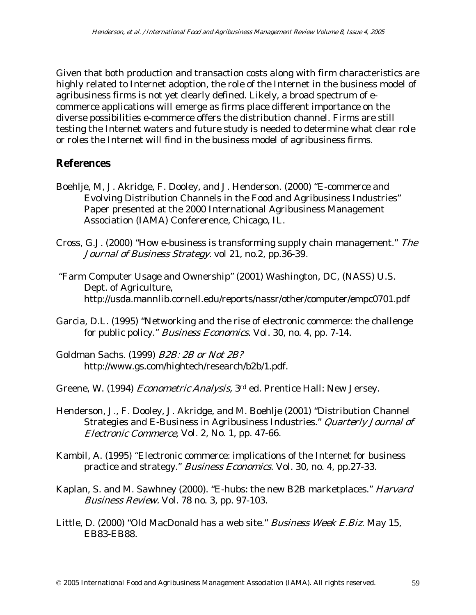Given that both production and transaction costs along with firm characteristics are highly related to Internet adoption, the role of the Internet in the business model of agribusiness firms is not yet clearly defined. Likely, a broad spectrum of ecommerce applications will emerge as firms place different importance on the diverse possibilities e-commerce offers the distribution channel. Firms are still testing the Internet waters and future study is needed to determine what clear role or roles the Internet will find in the business model of agribusiness firms.

# **References**

- Boehlje, M, J. Akridge, F. Dooley, and J. Henderson. (2000) "E-commerce and Evolving Distribution Channels in the Food and Agribusiness Industries" Paper presented at the 2000 International Agribusiness Management Association (IAMA) Confererence, Chicago, IL.
- Cross, G.J. (2000) "How e-business is transforming supply chain management." The Journal of Business Strategy. vol 21, no.2, pp.36-39.
- "Farm Computer Usage and Ownership" (2001) Washington, DC, (NASS) U.S. Dept. of Agriculture, http://usda.mannlib.cornell.edu/reports/nassr/other/computer/empc0701.pdf
- Garcia, D.L. (1995) "Networking and the rise of electronic commerce: the challenge for public policy." *Business Economics*. Vol. 30, no. 4, pp. 7-14.
- Goldman Sachs. (1999) B2B: 2B or Not 2B? http://www.gs.com/hightech/research/b2b/1.pdf.
- Greene, W. (1994) Econometric Analysis, 3rd ed. Prentice Hall: New Jersey.
- Henderson, J., F. Dooley, J. Akridge, and M. Boehlje (2001) "Distribution Channel Strategies and E-Business in Agribusiness Industries." Quarterly Journal of Electronic Commerce, Vol. 2, No. 1, pp. 47-66.
- Kambil, A. (1995) "Electronic commerce: implications of the Internet for business practice and strategy." Business Economics. Vol. 30, no. 4, pp.27-33.
- Kaplan, S. and M. Sawhney (2000). "E-hubs: the new B2B marketplaces." Harvard Business Review. Vol. 78 no. 3, pp. 97-103.
- Little, D. (2000) "Old MacDonald has a web site." *Business Week E.Biz.* May 15, EB83-EB88.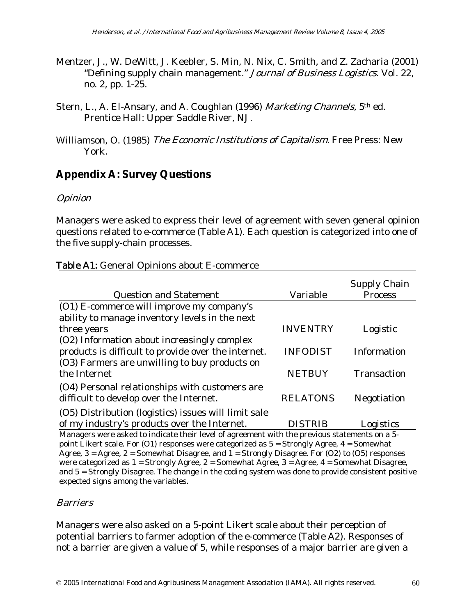- Mentzer, J., W. DeWitt, J. Keebler, S. Min, N. Nix, C. Smith, and Z. Zacharia (2001) "Defining supply chain management." Journal of Business Logistics. Vol. 22, no. 2, pp. 1-25.
- Stern, L., A. El-Ansary, and A. Coughlan (1996) Marketing Channels, 5<sup>th</sup> ed. Prentice Hall: Upper Saddle River, NJ.
- Williamson, O. (1985) The Economic Institutions of Capitalism. Free Press: New York.

# **Appendix A: Survey Questions**

# **Opinion**

Managers were asked to express their level of agreement with seven general opinion questions related to e-commerce (Table A1). Each question is categorized into one of the five supply-chain processes.

|                                                                                               |                 | Supply Chain       |  |  |
|-----------------------------------------------------------------------------------------------|-----------------|--------------------|--|--|
| <b>Question and Statement</b>                                                                 | Variable        | <b>Process</b>     |  |  |
| (O1) E-commerce will improve my company's                                                     |                 |                    |  |  |
| ability to manage inventory levels in the next                                                |                 |                    |  |  |
| three years                                                                                   | <b>INVENTRY</b> | Logistic           |  |  |
| (O2) Information about increasingly complex                                                   |                 |                    |  |  |
| products is difficult to provide over the internet.                                           | <b>INFODIST</b> | Information        |  |  |
| (O3) Farmers are unwilling to buy products on                                                 |                 |                    |  |  |
| the Internet                                                                                  | <b>NETBUY</b>   | <b>Transaction</b> |  |  |
| (O4) Personal relationships with customers are<br>difficult to develop over the Internet.     | <b>RELATONS</b> | Negotiation        |  |  |
| (O5) Distribution (logistics) issues will limit sale                                          |                 |                    |  |  |
| of my industry's products over the Internet.                                                  | <b>DISTRIB</b>  | Logistics          |  |  |
| Managers were asked to indicate their level of agreement with the previous statements on a 5- |                 |                    |  |  |

#### Table A1: General Opinions about E-commerce

point Likert scale. For (O1) responses were categorized as 5 = Strongly Agree, 4 = Somewhat Agree,  $3 = \text{Agree}, 2 = \text{Somewhat Disagree}, \text{ and } 1 = \text{Strongly Disagree}.$  For (O2) to (O5) responses were categorized as  $1 =$  Strongly Agree,  $2 =$  Somewhat Agree,  $3 =$  Agree,  $4 =$  Somewhat Disagree, and 5 = Strongly Disagree. The change in the coding system was done to provide consistent positive expected signs among the variables.

### **Barriers**

Managers were also asked on a 5-point Likert scale about their perception of potential barriers to farmer adoption of the e-commerce (Table A2). Responses of not a barrier are given a value of 5, while responses of a major barrier are given a